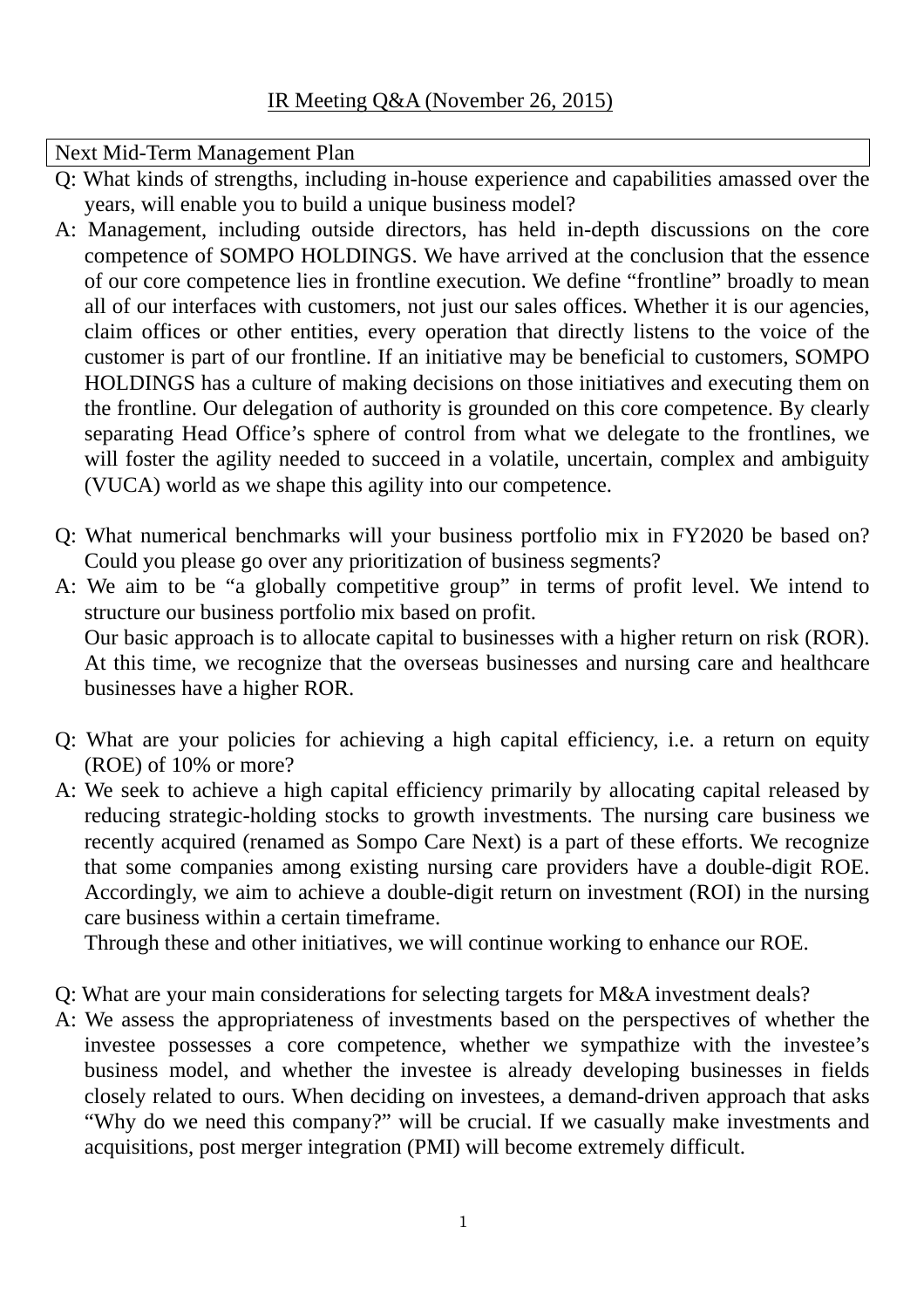## Next Mid-Term Management Plan

- Q: What kinds of strengths, including in-house experience and capabilities amassed over the years, will enable you to build a unique business model?
- A: Management, including outside directors, has held in-depth discussions on the core competence of SOMPO HOLDINGS. We have arrived at the conclusion that the essence of our core competence lies in frontline execution. We define "frontline" broadly to mean all of our interfaces with customers, not just our sales offices. Whether it is our agencies, claim offices or other entities, every operation that directly listens to the voice of the customer is part of our frontline. If an initiative may be beneficial to customers, SOMPO HOLDINGS has a culture of making decisions on those initiatives and executing them on the frontline. Our delegation of authority is grounded on this core competence. By clearly separating Head Office's sphere of control from what we delegate to the frontlines, we will foster the agility needed to succeed in a volatile, uncertain, complex and ambiguity (VUCA) world as we shape this agility into our competence.
- Q: What numerical benchmarks will your business portfolio mix in FY2020 be based on? Could you please go over any prioritization of business segments?
- A: We aim to be "a globally competitive group" in terms of profit level. We intend to structure our business portfolio mix based on profit. Our basic approach is to allocate capital to businesses with a higher return on risk (ROR). At this time, we recognize that the overseas businesses and nursing care and healthcare businesses have a higher ROR.
- Q: What are your policies for achieving a high capital efficiency, i.e. a return on equity (ROE) of 10% or more?
- A: We seek to achieve a high capital efficiency primarily by allocating capital released by reducing strategic-holding stocks to growth investments. The nursing care business we recently acquired (renamed as Sompo Care Next) is a part of these efforts. We recognize that some companies among existing nursing care providers have a double-digit ROE. Accordingly, we aim to achieve a double-digit return on investment (ROI) in the nursing care business within a certain timeframe.

Through these and other initiatives, we will continue working to enhance our ROE.

- Q: What are your main considerations for selecting targets for M&A investment deals?
- A: We assess the appropriateness of investments based on the perspectives of whether the investee possesses a core competence, whether we sympathize with the investee's business model, and whether the investee is already developing businesses in fields closely related to ours. When deciding on investees, a demand-driven approach that asks "Why do we need this company?" will be crucial. If we casually make investments and acquisitions, post merger integration (PMI) will become extremely difficult.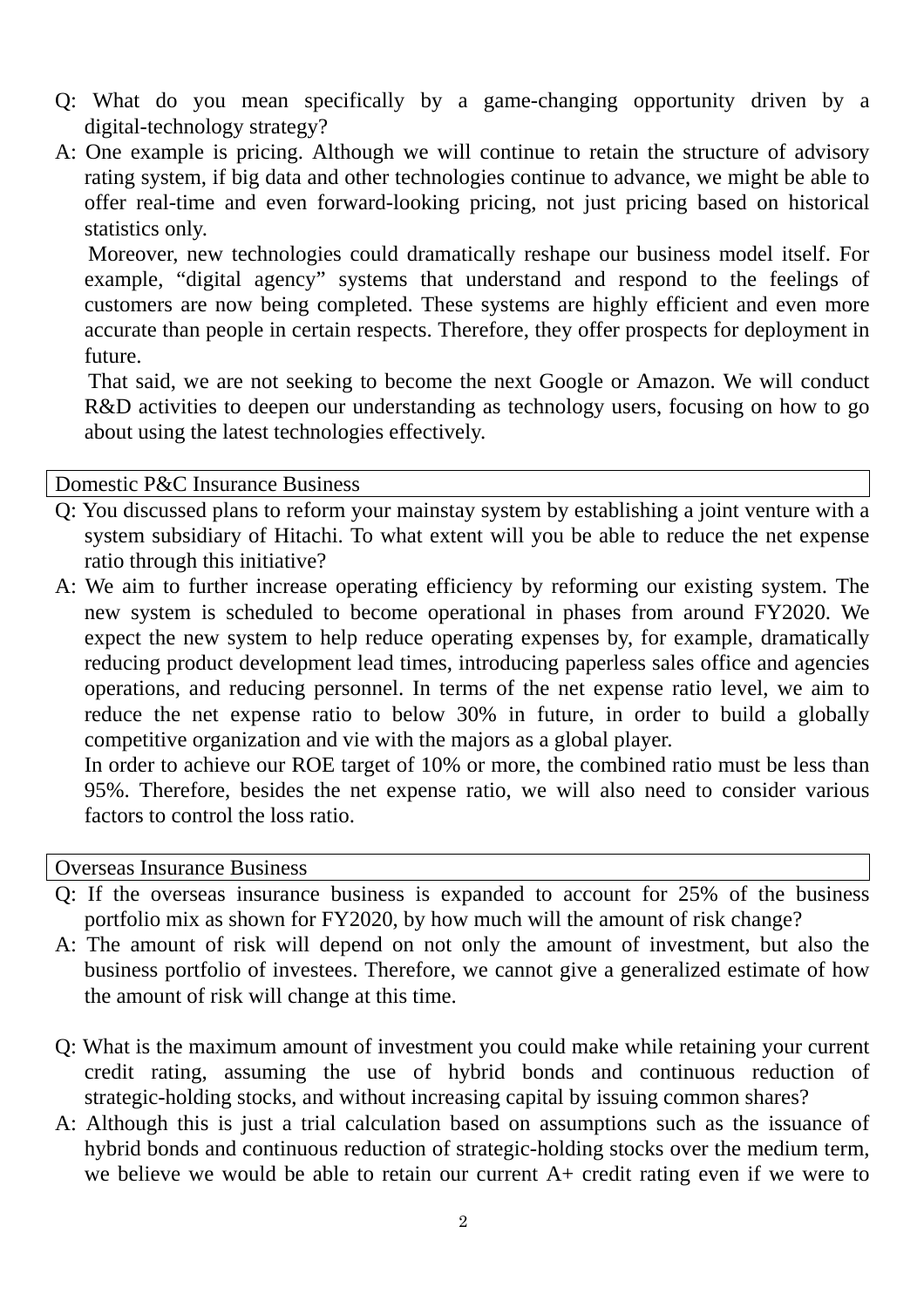- Q: What do you mean specifically by a game-changing opportunity driven by a digital-technology strategy?
- A: One example is pricing. Although we will continue to retain the structure of advisory rating system, if big data and other technologies continue to advance, we might be able to offer real-time and even forward-looking pricing, not just pricing based on historical statistics only.

Moreover, new technologies could dramatically reshape our business model itself. For example, "digital agency" systems that understand and respond to the feelings of customers are now being completed. These systems are highly efficient and even more accurate than people in certain respects. Therefore, they offer prospects for deployment in future.

That said, we are not seeking to become the next Google or Amazon. We will conduct R&D activities to deepen our understanding as technology users, focusing on how to go about using the latest technologies effectively.

Domestic P&C Insurance Business

- Q: You discussed plans to reform your mainstay system by establishing a joint venture with a system subsidiary of Hitachi. To what extent will you be able to reduce the net expense ratio through this initiative?
- A: We aim to further increase operating efficiency by reforming our existing system. The new system is scheduled to become operational in phases from around FY2020. We expect the new system to help reduce operating expenses by, for example, dramatically reducing product development lead times, introducing paperless sales office and agencies operations, and reducing personnel. In terms of the net expense ratio level, we aim to reduce the net expense ratio to below 30% in future, in order to build a globally competitive organization and vie with the majors as a global player.

In order to achieve our ROE target of 10% or more, the combined ratio must be less than 95%. Therefore, besides the net expense ratio, we will also need to consider various factors to control the loss ratio.

Overseas Insurance Business

- Q: If the overseas insurance business is expanded to account for 25% of the business portfolio mix as shown for FY2020, by how much will the amount of risk change?
- A: The amount of risk will depend on not only the amount of investment, but also the business portfolio of investees. Therefore, we cannot give a generalized estimate of how the amount of risk will change at this time.
- Q: What is the maximum amount of investment you could make while retaining your current credit rating, assuming the use of hybrid bonds and continuous reduction of strategic-holding stocks, and without increasing capital by issuing common shares?
- A: Although this is just a trial calculation based on assumptions such as the issuance of hybrid bonds and continuous reduction of strategic-holding stocks over the medium term, we believe we would be able to retain our current A+ credit rating even if we were to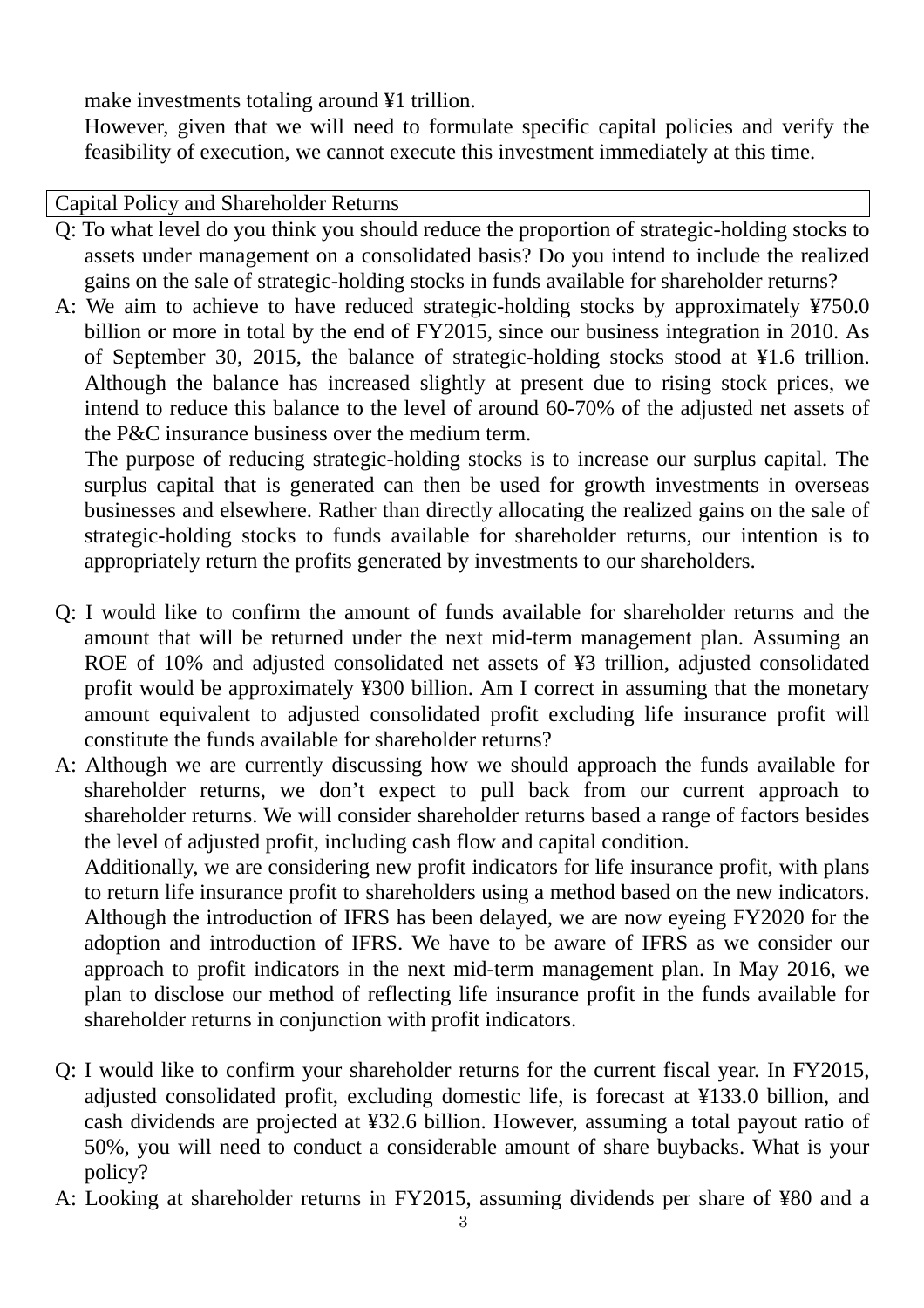make investments totaling around ¥1 trillion.

However, given that we will need to formulate specific capital policies and verify the feasibility of execution, we cannot execute this investment immediately at this time.

Capital Policy and Shareholder Returns

- Q: To what level do you think you should reduce the proportion of strategic-holding stocks to assets under management on a consolidated basis? Do you intend to include the realized gains on the sale of strategic-holding stocks in funds available for shareholder returns?
- A: We aim to achieve to have reduced strategic-holding stocks by approximately ¥750.0 billion or more in total by the end of FY2015, since our business integration in 2010. As of September 30, 2015, the balance of strategic-holding stocks stood at ¥1.6 trillion. Although the balance has increased slightly at present due to rising stock prices, we intend to reduce this balance to the level of around 60-70% of the adjusted net assets of the P&C insurance business over the medium term.

The purpose of reducing strategic-holding stocks is to increase our surplus capital. The surplus capital that is generated can then be used for growth investments in overseas businesses and elsewhere. Rather than directly allocating the realized gains on the sale of strategic-holding stocks to funds available for shareholder returns, our intention is to appropriately return the profits generated by investments to our shareholders.

- Q: I would like to confirm the amount of funds available for shareholder returns and the amount that will be returned under the next mid-term management plan. Assuming an ROE of 10% and adjusted consolidated net assets of ¥3 trillion, adjusted consolidated profit would be approximately ¥300 billion. Am I correct in assuming that the monetary amount equivalent to adjusted consolidated profit excluding life insurance profit will constitute the funds available for shareholder returns?
- A: Although we are currently discussing how we should approach the funds available for shareholder returns, we don't expect to pull back from our current approach to shareholder returns. We will consider shareholder returns based a range of factors besides the level of adjusted profit, including cash flow and capital condition.

Additionally, we are considering new profit indicators for life insurance profit, with plans to return life insurance profit to shareholders using a method based on the new indicators. Although the introduction of IFRS has been delayed, we are now eyeing FY2020 for the adoption and introduction of IFRS. We have to be aware of IFRS as we consider our approach to profit indicators in the next mid-term management plan. In May 2016, we plan to disclose our method of reflecting life insurance profit in the funds available for shareholder returns in conjunction with profit indicators.

- Q: I would like to confirm your shareholder returns for the current fiscal year. In FY2015, adjusted consolidated profit, excluding domestic life, is forecast at ¥133.0 billion, and cash dividends are projected at ¥32.6 billion. However, assuming a total payout ratio of 50%, you will need to conduct a considerable amount of share buybacks. What is your policy?
- A: Looking at shareholder returns in FY2015, assuming dividends per share of ¥80 and a